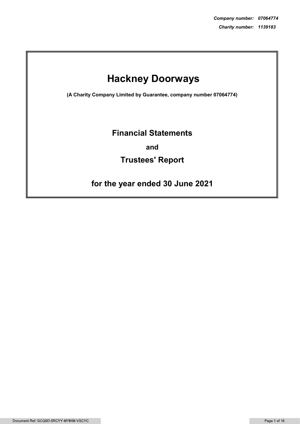# Hackney Doorways

(A Charity Company Limited by Guarantee, company number 07064774)

### Financial Statements

and

## Trustees' Report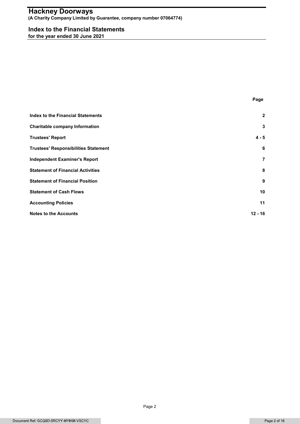### Hackney Doorways **AT AT AN INCREA**

#### Index to the Financial Statements

| <b>Index to the Financial Statements</b><br>for the year ended 30 June 2021 |                         |
|-----------------------------------------------------------------------------|-------------------------|
|                                                                             |                         |
|                                                                             |                         |
|                                                                             |                         |
|                                                                             |                         |
|                                                                             | Page                    |
| <b>Index to the Financial Statements</b>                                    | $\mathbf 2$             |
| <b>Charitable company Information</b>                                       | 3                       |
| <b>Trustees' Report</b>                                                     | $4 - 5$                 |
| <b>Trustees' Responsibilities Statement</b>                                 | 6                       |
| <b>Independent Examiner's Report</b>                                        | $\overline{\mathbf{r}}$ |
| <b>Statement of Financial Activities</b>                                    | 8                       |
| <b>Statement of Financial Position</b>                                      | 9                       |
| <b>Statement of Cash Flows</b>                                              | 10                      |
| <b>Accounting Policies</b>                                                  | 11                      |
| <b>Notes to the Accounts</b>                                                | $12 - 16$               |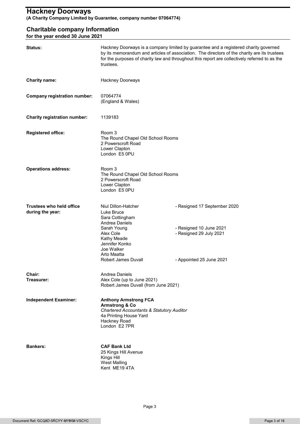### Charitable company Information

| Status:                                             | trustees.                                                                                                                                                                                      | Hackney Doorways is a company limited by guarantee and a registered charity governed<br>by its memorandum and articles of association. The directors of the charity are its trustees<br>for the purposes of charity law and throughout this report are collectively referred to as the |
|-----------------------------------------------------|------------------------------------------------------------------------------------------------------------------------------------------------------------------------------------------------|----------------------------------------------------------------------------------------------------------------------------------------------------------------------------------------------------------------------------------------------------------------------------------------|
| <b>Charity name:</b>                                | Hackney Doorways                                                                                                                                                                               |                                                                                                                                                                                                                                                                                        |
| <b>Company registration number:</b>                 | 07064774<br>(England & Wales)                                                                                                                                                                  |                                                                                                                                                                                                                                                                                        |
| <b>Charity registration number:</b>                 | 1139183                                                                                                                                                                                        |                                                                                                                                                                                                                                                                                        |
| <b>Registered office:</b>                           | Room 3<br>The Round Chapel Old School Rooms<br>2 Powerscroft Road<br>Lower Clapton<br>London E5 0PU                                                                                            |                                                                                                                                                                                                                                                                                        |
| <b>Operations address:</b>                          | Room 3<br>The Round Chapel Old School Rooms<br>2 Powerscroft Road<br>Lower Clapton<br>London E5 0PU                                                                                            |                                                                                                                                                                                                                                                                                        |
| <b>Trustees who held office</b><br>during the year: | Niul Dillon-Hatcher<br>Luke Bruce<br>Sara Cottingham<br>Andrea Daniels<br>Sarah Young<br>Alex Cole<br>Kathy Meade<br>Jennifer Konko<br>Joe Walker<br>Arto Maatta<br><b>Robert James Duvall</b> | - Resigned 17 September 2020<br>- Resigned 10 June 2021<br>- Resigned 29 July 2021<br>- Appointed 25 June 2021                                                                                                                                                                         |
| Chair:<br>Treasurer:                                | Andrea Daniels<br>Alex Cole (up to June 2021)<br>Robert James Duvall (from June 2021)                                                                                                          |                                                                                                                                                                                                                                                                                        |
| <b>Independent Examiner:</b>                        | <b>Anthony Armstrong FCA</b><br><b>Armstrong &amp; Co</b><br><b>Chartered Accountants &amp; Statutory Auditor</b><br>4a Printing House Yard<br>Hackney Road<br>London E2 7PR                   |                                                                                                                                                                                                                                                                                        |
| <b>Bankers:</b>                                     | <b>CAF Bank Ltd</b><br>25 Kings Hill Avenue<br>Kings Hill<br><b>West Malling</b><br>Kent ME19 4TA                                                                                              |                                                                                                                                                                                                                                                                                        |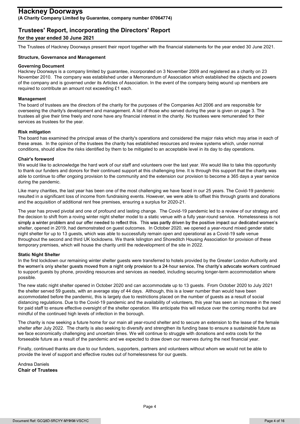### Trustees' Report, incorporating the Directors' Report

### for the year ended 30 June 2021

The Trustees of Hackney Doorways present their report together with the financial statements for the year ended 30 June 2021.

### Structure, Governance and Management

#### Governing Document

Hackney Doorways is a company limited by guarantee, incorporated on 3 November 2009 and registered as a charity on 23 November 2010. The company was established under a Memorandum of Association which established the objects and powers of the company and is governed under its Articles of Association. In the event of the company being wound up members are required to contribute an amount not exceeding £1 each.

#### Management

The board of trustees are the directors of the charity for the purposes of the Companies Act 2006 and are responsible for overseeing the charity's development and management. A list of those who served during the year is given on page 3. The trustees all give their time freely and none have any financial interest in the charity. No trustees were remunerated for their services as trustees for the year.

#### Risk mitigation

The board has examined the principal areas of the charity's operations and considered the major risks which may arise in each of these areas. In the opinion of the trustees the charity has established resources and review systems which, under normal conditions, should allow the risks identified by them to be mitigated to an acceptable level in its day to day operations.

#### Chair's foreword

We would like to acknowledge the hard work of our staff and volunteers over the last year. We would like to take this opportunity to thank our funders and donors for their continued support at this challenging time. It is through this support that the charity was able to continue to offer ongoing provision to the community and the extension our provision to become a 365 days a year service during the pandemic.

Like many charities, the last year has been one of the most challenging we have faced in our 25 years. The Covid-19 pandemic resulted in a significant loss of income from fundraising events. However, we were able to offset this through grants and donations and the acquisition of additional rent free premises, ensuring a surplus for 2020-21.

The year has proved pivotal and one of profound and lasting change. The Covid-19 pandemic led to a review of our strategy and the decision to shift from a roving winter night shelter model to a static venue with a fully year-round service. Homelessness is not simply a winter problem and our offer needed to reflect this. This was partly driven by the positive impact our dedicated women's shelter, opened in 2019, had demonstrated on guest outcomes. In October 2020, we opened a year-round mixed gender static night shelter for up to 13 guests, which was able to successfully remain open and operational as a Covid-19 safe venue throughout the second and third UK lockdowns. We thank Islington and Shoreditch Housing Association for provision of these temporary premises, which will house the charity until the redevelopment of the site in 2022.

#### **Static Night Shelter**

In the first lockdown our remaining winter shelter guests were transferred to hotels provided by the Greater London Authority and the women's only shelter guests moved from a night only provision to a 24-hour service. The charity's advocate workers continued to support guests by phone, providing resources and services as needed, including securing longer-term accommodation where possible.

The new static night shelter opened in October 2020 and can accommodate up to 13 guests. From October 2020 to July 2021 the shelter served 59 guests, with an average stay of 44 days. Although, this is a lower number than would have been accommodated before the pandemic, this is largely due to restrictions placed on the number of guests as a result of social distancing regulations. Due to the Covid-19 pandemic and the availability of volunteers, this year has seen an increase in the need for paid staff to ensure effective oversight of the shelter operation. We anticipate this will reduce over the coming months but are mindful of the continued high levels of infection in the borough.

The charity is now seeking a future home for our main all year-round shelter and to secure an extension to the lease of the female shelter after July 2022. The charity is also seeking to diversify and strengthen its funding base to ensure a sustainable future as we face economically challenging and uncertain times. We will continue to struggle with donations and extra costs for the forseeable future as a result of the pandemic and we expected to draw down our reserves during the next financial year.

Finally, continued thanks are due to our funders, supporters, partners and volunteers without whom we would not be able to provide the level of support and effective routes out of homelessness for our guests.

Andrea Daniels Chair of Trustees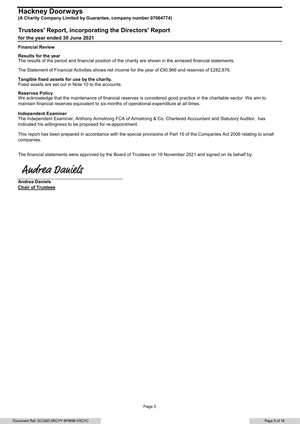### **Hackney Doorways**

(A Charity Company Limited by Guarantee, company number 07064774)

### Trustees' Report, incorporating the Directors' Report

#### for the year ended 30 June 2021

#### Financial Review

#### Results for the year

The results of the period and financial position of the charity are shown in the annexed financial statements.

The Statement of Financial Activities shows net income for the year of £90,966 and reserves of £282,876.

#### Tangible fixed assets for use by the charity.

Fixed assets are set out in Note 10 to the accounts.

#### Reserves Policy

We acknowledge that the maintenance of financial reserves is considered good practice in the charitable sector. We aim to maintain financial reserves equivalent to six months of operational expenditure at all times.

#### Independent Examiner

The Independent Examiner, Anthony Armstrong FCA of Armstrong & Co, Chartered Accountant and Statutory Auditor, has indicated his willingness to be proposed for re-appointment.

This report has been prepared in accordance with the special provisions of Part 15 of the Companies Act 2006 relating to small companies.

The financial statements were approved by the Board of Trustees on 19 November 2021 and signed on its behalf by:

Audrea Dauiels

Andrea Daniels Chair of Trustees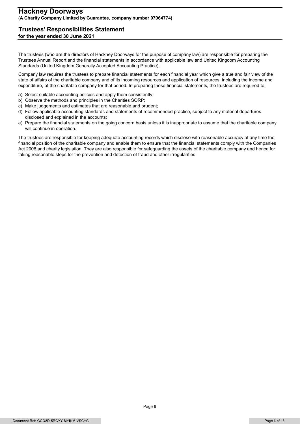#### Trustees' Responsibilities Statement for the year ended 30 June 2021

The trustees (who are the directors of Hackney Doorways for the purpose of company law) are responsible for preparing the Trustees Annual Report and the financial statements in accordance with applicable law and United Kingdom Accounting Standards (United Kingdom Generally Accepted Accounting Practice).

Company law requires the trustees to prepare financial statements for each financial year which give a true and fair view of the state of affairs of the charitable company and of its incoming resources and application of resources, including the income and expenditure, of the charitable company for that period. In preparing these financial statements, the trustees are required to:

- a) Select suitable accounting policies and apply them consistently;
- b) Observe the methods and principles in the Charities SORP;
- c) Make judgements and estimates that are reasonable and prudent;
- d) Follow applicable accounting standards and statements of recommended practice, subject to any material departures disclosed and explained in the accounts;
- e) Prepare the financial statements on the going concern basis unless it is inappropriate to assume that the charitable company will continue in operation.

The trustees are responsible for keeping adequate accounting records which disclose with reasonable accuracy at any time the financial position of the charitable company and enable them to ensure that the financial statements comply with the Companies Act 2006 and charity legislation. They are also responsible for safeguarding the assets of the charitable company and hence for taking reasonable steps for the prevention and detection of fraud and other irregularities.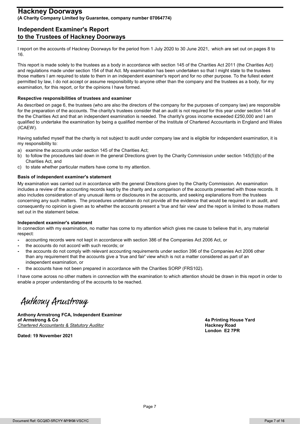### Independent Examiner's Report to the Trustees of Hackney Doorways

I report on the accounts of Hackney Doorways for the period from 1 July 2020 to 30 June 2021, which are set out on pages 8 to 16.

This report is made solely to the trustees as a body in accordance with section 145 of the Charities Act 2011 (the Charities Act) and regulations made under section 154 of that Act. My examination has been undertaken so that I might state to the trustees those matters I am required to state to them in an independent examiner's report and for no other purpose. To the fullest extent permitted by law, I do not accept or assume responsibility to anyone other than the company and the trustees as a body, for my examination, for this report, or for the opinions I have formed.

#### Respective responsibilities of trustees and examiner

As described on page 6, the trustees (who are also the directors of the company for the purposes of company law) are responsible for the preparation of the accounts. The charity's trustees consider that an audit is not required for this year under section 144 of the the Charities Act and that an independent examination is needed. The charity's gross income exceeded £250,000 and I am qualified to undertake the examination by being a qualified member of the Institute of Chartered Accountants in England and Wales (ICAEW).

Having satisfied myself that the charity is not subject to audit under company law and is eligible for independent examination, it is my responsibility to:

- a) examine the accounts under section 145 of the Charities Act;
- b) to follow the procedures laid down in the general Directions given by the Charity Commission under section 145(5)(b) of the Charities Act, and
- c) to state whether particular matters have come to my attention.

#### Basis of independent examiner's statement

My examination was carried out in accordance with the general Directions given by the Charity Commission. An examination includes a review of the accounting records kept by the charity and a comparison of the accounts presented with those records. It also includes consideration of any unusual items or disclosures in the accounts, and seeking explanations from the trustees concerning any such matters. The procedures undertaken do not provide all the evidence that would be required in an audit, and consequently no opinion is given as to whether the accounts present a 'true and fair view' and the report is limited to those matters set out in the statement below.

#### Independent examiner's statement

In connection with my examination, no matter has come to my attention which gives me cause to believe that in, any material respect:

- accounting records were not kept in accordance with section 386 of the Companies Act 2006 Act, or
- the accounts do not accord with such records; or
- the accounts do not comply with relevant accounting requirements under section 396 of the Companies Act 2006 other than any requirement that the accounts give a 'true and fair' view which is not a matter considered as part of an independent examination, or
- the accounts have not been prepared in accordance with the Charities SORP (FRS102).

- the accounts have not been prepared in accordance with the Charities SORP (<br>
I have come across no other matters in connection with the examination to which a<br>
enable a proper understanding of the accounts to be reached. I have come across no other matters in connection with the examination to which attention should be drawn in this report in order to enable a proper understanding of the accounts to be reached.

of Armstrong & Co 4a Printing House Yard Chartered Accountants & Statutory Auditor **Hackney Road Hackney Road Hackney Road** 

Dated: 19 November 2021

London E2 7PR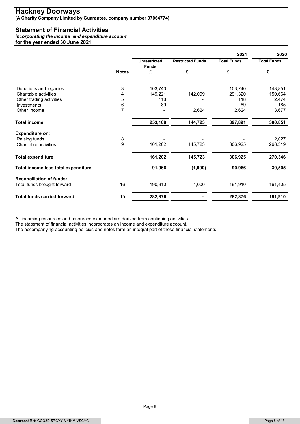### Statement of Financial Activities

| <b>Statement of Financial Activities</b><br>incorporating the income and expenditure account<br>for the year ended 30 June 2021 |                     |                      |                         |                            |                            |
|---------------------------------------------------------------------------------------------------------------------------------|---------------------|----------------------|-------------------------|----------------------------|----------------------------|
|                                                                                                                                 |                     |                      |                         |                            |                            |
|                                                                                                                                 |                     |                      |                         |                            |                            |
|                                                                                                                                 |                     |                      |                         |                            |                            |
|                                                                                                                                 |                     | <b>Unrestricted</b>  | <b>Restricted Funds</b> | 2021<br><b>Total Funds</b> | 2020<br><b>Total Funds</b> |
|                                                                                                                                 |                     | <b>Funds</b>         |                         |                            |                            |
|                                                                                                                                 | <b>Notes</b>        | £                    | £                       | £                          | £                          |
| Donations and legacies                                                                                                          | 3                   | 103,740              |                         | 103,740                    | 143,851                    |
| Charitable activities                                                                                                           | $\overline{4}$      | 149,221              | 142,099                 | 291,320                    | 150,664                    |
| Other trading activities                                                                                                        | 5                   | 118                  |                         | 118                        | 2,474                      |
| Investments<br>Other Income                                                                                                     | 6<br>$\overline{7}$ | 89<br>$\blacksquare$ | 2,624                   | 89<br>2,624                | 185<br>3,677               |
|                                                                                                                                 |                     |                      |                         |                            |                            |
| <b>Total income</b>                                                                                                             |                     | 253,168              | 144,723                 | 397,891                    | 300,851                    |
| <b>Expenditure on:</b>                                                                                                          |                     |                      |                         |                            |                            |
| Raising funds<br>Charitable activities                                                                                          | 8<br>9              | 161,202              | 145,723                 | 306,925                    | 2,027<br>268,319           |
|                                                                                                                                 |                     |                      |                         |                            |                            |
| <b>Total expenditure</b>                                                                                                        |                     | 161,202              | 145,723                 | 306,925                    | 270,346                    |
| Total income less total expenditure                                                                                             |                     | 91,966               | (1,000)                 | 90,966                     | 30,505                     |
| <b>Reconciliation of funds:</b>                                                                                                 |                     |                      |                         |                            |                            |
| Total funds brought forward                                                                                                     | 16                  | 190,910              | 1,000                   | 191,910                    | 161,405                    |
|                                                                                                                                 | 15                  | 282,876              |                         | 282,876                    | 191,910                    |

The accompanying accounting policies and notes form an integral part of these financial statements.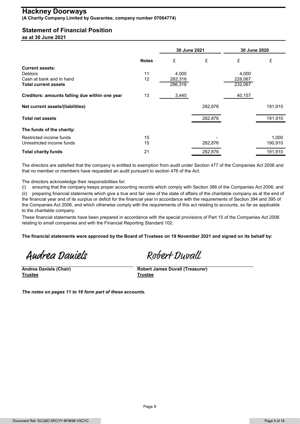### Statement of Financial Position

|                                                      |              | 30 June 2021 |         | 30 June 2020 |                  |
|------------------------------------------------------|--------------|--------------|---------|--------------|------------------|
|                                                      | <b>Notes</b> | £            | £       | £            | £                |
| <b>Current assets:</b><br><b>Debtors</b>             | 11           | 4,000        |         | 4,000        |                  |
| Cash at bank and In hand                             | 12           | 282,316      |         | 228,067      |                  |
| <b>Total current assets</b>                          |              | 286,316      |         | 232,067      |                  |
| Creditors: amounts falling due within one year       | 13           | 3,440        |         | 40,157       |                  |
| Net current assets/(liabilities)                     |              |              | 282,876 |              | 191,910          |
| <b>Total net assets</b>                              |              |              | 282,876 |              | 191,910          |
| The funds of the charity:                            |              |              |         |              |                  |
|                                                      |              |              |         |              | 1,000<br>190,910 |
| Restricted income funds<br>Unrestricted income funds | 15<br>15     |              | 282,876 |              |                  |

(i) ensuring that the company keeps proper accounting records which comply with Section 386 of the Companies Act 2006; and

(ii) preparing financial statements which give a true and fair view of the state of affairs of the charitable company as at the end of the financial year and of its surplus or deficit for the financial year in accordance with the requirements of Section 394 and 395 of the Companies Act 2006, and which otherwise comply with the requirements of this act relating to accounts, so far as applicable to the charitable company.

These financial statements have been prepared in accordance with the special provisions of Part 15 of the Companies Act 2006 relating to small companies and with the Financial Reporting Standard 102.

The financial statements were approved by the Board of Trustees on 19 November 2021 and signed on its behalf by:

Audrea Dauiels

Andrea Daniels (Chair) Robert James Duvall (Treasurer) Trustee Trustee

Robert Duvall

The notes on pages 11 to 16 form part of these accounts.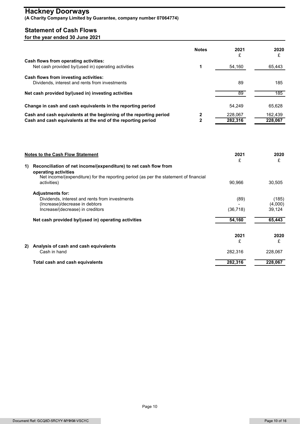### Statement of Cash Flows

| <b>Hackney Doorways</b><br>(A Charity Company Limited by Guarantee, company number 07064774)                                                                                                          |                                |                    |                    |
|-------------------------------------------------------------------------------------------------------------------------------------------------------------------------------------------------------|--------------------------------|--------------------|--------------------|
| <b>Statement of Cash Flows</b><br>for the year ended 30 June 2021                                                                                                                                     |                                |                    |                    |
|                                                                                                                                                                                                       | <b>Notes</b>                   | 2021<br>£          | 2020<br>£          |
| Cash flows from operating activities:<br>Net cash provided by/(used in) operating activities                                                                                                          | 1                              | 54,160             | 65,443             |
| Cash flows from investing activities:<br>Dividends, interest and rents from investments                                                                                                               |                                | 89                 | 185                |
| Net cash provided by/(used in) investing activities                                                                                                                                                   |                                | 89                 | 185                |
| Change in cash and cash equivalents in the reporting period                                                                                                                                           |                                | 54,249             | 65,628             |
| Cash and cash equivalents at the beginning of the reporting period<br>Cash and cash equivalents at the end of the reporting period                                                                    | $\mathbf{2}$<br>$\overline{2}$ | 228,067<br>282,316 | 162,439<br>228,067 |
|                                                                                                                                                                                                       |                                |                    |                    |
| <b>Notes to the Cash Flow Statement</b>                                                                                                                                                               |                                | 2021<br>£          | 2020<br>£          |
| Reconciliation of net income/(expenditure) to net cash flow from<br>1)<br>operating activities<br>Net income/(expenditure) for the reporting period (as per the statement of financial<br>activities) |                                | 90,966             | 30,505             |
| <b>Adjustments for:</b><br>Dividends, interest and rents from investments                                                                                                                             |                                | (89)               | (185)              |
| (Increase)/decrease in debtors<br>Increase/(decrease) in creditors                                                                                                                                    |                                | (36, 718)          | (4,000)<br>39,124  |

| <b>Notes to the Cash Flow Statement</b>                                                                                                                                                            | 2021<br>£ | 2020<br>£ |
|----------------------------------------------------------------------------------------------------------------------------------------------------------------------------------------------------|-----------|-----------|
| 1) Reconciliation of net income/(expenditure) to net cash flow from<br>operating activities<br>Net income/(expenditure) for the reporting period (as per the statement of financial<br>activities) | 90,966    | 30,505    |
| <b>Adjustments for:</b>                                                                                                                                                                            |           |           |
| Dividends, interest and rents from investments                                                                                                                                                     | (89)      | (185)     |
| (Increase)/decrease in debtors                                                                                                                                                                     |           | (4,000)   |
| Increase/(decrease) in creditors                                                                                                                                                                   | (36, 718) | 39,124    |
| Net cash provided by/(used in) operating activities                                                                                                                                                | 54,160    | 65,443    |
|                                                                                                                                                                                                    | 2021      | 2020      |
|                                                                                                                                                                                                    | £         | £         |
| 2) Analysis of cash and cash equivalents                                                                                                                                                           |           |           |
| Cash in hand                                                                                                                                                                                       | 282,316   | 228,067   |
| Total cash and cash equivalents                                                                                                                                                                    | 282,316   | 228,067   |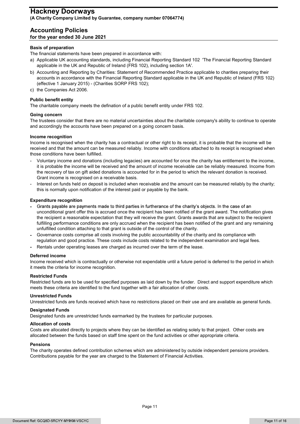#### Accounting Policies for the year ended 30 June 2021

#### Basis of preparation

The financial statements have been prepared in accordance with:

- a) Applicable UK accounting standards, including Financial Reporting Standard 102 'The Financial Reporting Standard applicable in the UK and Republic of Ireland (FRS 102), including section 1A'.
- b) Accounting and Reporting by Charities: Statement of Recommended Practice applicable to charities preparing their accounts in accordance with the Financial Reporting Standard applicable in the UK and Republic of Ireland (FRS 102) (effective 1 January 2015) - (Charities SORP FRS 102);
- c) the Companies Act 2006.

#### Public benefit entity

The charitable company meets the defination of a public benefit entity under FRS 102.

#### Going concern

The trustees consider that there are no material uncertainties about the charitable company's ability to continue to operate and accordingly the accounts have been prepared on a going concern basis.

#### Income recognition

Income is recognised when the charity has a contractual or other right to its receipt, it is probable that the income will be received and that the amount can be measured reliably. Income with conditions attached to its receipt is recognised when those conditions have been fulfilled.

- Voluntary income and donations (including legacies) are accounted for once the charity has entitlement to the income, it is probable the income will be received and the amount of income receivable can be reliably measured. Income from the recovery of tax on gift aided donations is accounted for in the period to which the relevant donation is received. Grant income is recognised on a receivable basis.
- -Interest on funds held on deposit is included when receivable and the amount can be measured reliably by the charity; this is normally upon notification of the interest paid or payable by the bank.

#### Expenditure recognition

- Grants payable are payments made to third parties in furtherance of the charity's objects. In the case of an unconditional grant offer this is accrued once the recipient has been notified of the grant award. The notification gives the recipient a reasonable expectation that they will receive the grant. Grants awards that are subject to the recipient fulfilling performance conditions are only accrued when the recipient has been notified of the grant and any remaining unfulfilled condition attaching to that grant is outside of the control of the charity.
- Governance costs comprise all costs involving the public accountability of the charity and its compliance with regulation and good practice. These costs include costs related to the independent examination and legal fees.
- Rentals under operating leases are charged as incurred over the term of the lease.<br>**Deferred income**

Income received which is contractually or otherwise not expendable until a future period is deferred to the period in which it meets the criteria for income recognition.

#### Restricted Funds

Restricted funds are to be used for specified purposes as laid down by the funder. Direct and support expenditure which meets these criteria are identified to the fund together with a fair allocation of other costs.

#### Unrestricted Funds

Unrestricted funds are funds received which have no restrictions placed on their use and are available as general funds.

#### Designated Funds

Designated funds are unrestricted funds earmarked by the trustees for particular purposes.

#### Allocation of costs

Costs are allocated directly to projects where they can be identified as relating solely to that project. Other costs are allocated between the funds based on staff time spent on the fund activities or other appropriate criteria.

#### Pensions

The charity operates defined contribution schemes which are administered by outside independent pensions providers. Contributions payable for the year are charged to the Statement of Financial Activities.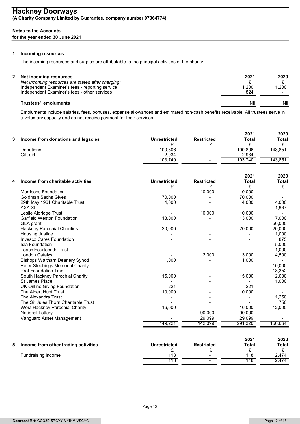#### Notes to the Accounts

#### for the year ended 30 June 2021

#### 1 Incoming resources

The incoming resources and surplus are attributable to the principal activities of the charity.

| Net incoming resources<br>Net incoming resources are stated after charging:<br>Independent Examiner's fees - reporting service<br>Independent Examiner's fees - other services | 2021<br>1,200<br>824 | 2020<br>1,200<br>$\sim$ |
|--------------------------------------------------------------------------------------------------------------------------------------------------------------------------------|----------------------|-------------------------|
| Trustees' emoluments                                                                                                                                                           | Nil                  | Nil                     |

Emoluments include salaries, fees, bonuses, expense allowances and estimated non-cash benefits receivable. All trustees serve in a voluntary capacity and do not receive payment for their services.

| ◠ | Income from donations and legacies | <b>Unrestricted</b> | <b>Restricted</b>        | 2021<br><b>Total</b> | 2020<br>Total            |
|---|------------------------------------|---------------------|--------------------------|----------------------|--------------------------|
|   |                                    |                     |                          |                      |                          |
|   | Donations                          | 100,806             | $\,$                     | 100,806              | 143,851                  |
|   | Gift aid                           | 2,934               | $\,$                     | 2,934                | $\overline{\phantom{a}}$ |
|   |                                    | 103,740             | $\overline{\phantom{a}}$ | 103,740              | 143,851                  |
|   |                                    |                     |                          |                      |                          |

| 4  | Income from charitable activities    | <b>Unrestricted</b> | <b>Restricted</b><br>£ | 2021<br><b>Total</b><br>£ | 2020<br><b>Total</b><br>£ |
|----|--------------------------------------|---------------------|------------------------|---------------------------|---------------------------|
|    | <b>Morrisons Foundation</b>          |                     | 10,000                 | 10,000                    |                           |
|    | <b>Goldman Sachs Gives</b>           | 70,000              |                        | 70,000                    |                           |
|    | 29th May 1961 Charitable Trust       | 4,000               |                        | 4,000                     | 4,000                     |
|    | AXA XL                               |                     |                        |                           | 1,937                     |
|    | Leslie Aldridge Trust                |                     | 10,000                 | 10,000                    |                           |
|    | <b>Garfield Weston Foundation</b>    | 13,000              |                        | 13,000                    | 7,000                     |
|    | GLA grant                            |                     |                        |                           | 50,000                    |
|    | <b>Hackney Parochial Charities</b>   | 20,000              |                        | 20,000                    | 20,000                    |
|    | <b>Housing Justice</b>               |                     |                        |                           | 1,000                     |
|    | <b>Invesco Cares Foundation</b>      |                     |                        |                           | 875                       |
|    | Isla Foundation                      |                     |                        |                           | 5,000                     |
|    | <b>Leach Fourteenth Trust</b>        |                     |                        |                           | 1,000                     |
|    | London Catalyst                      |                     | 3,000                  | 3,000                     | 4,500                     |
|    | <b>Bishops Waltham Deanery Synod</b> | 1,000               |                        | 1,000                     |                           |
|    | Peter Stebbings Memorial Charity     |                     |                        |                           | 10,000                    |
|    | <b>Pret Foundation Trust</b>         |                     |                        |                           | 18,352                    |
|    | South Hackney Parochial Charity      | 15,000              |                        | 15,000                    | 12,000                    |
|    | St James Place                       |                     |                        |                           | 1,000                     |
|    | <b>UK Online Giving Foundation</b>   | 221                 |                        | 221                       |                           |
|    | The Albert Hunt Trust                | 10,000              |                        | 10,000                    |                           |
|    | The Alexandra Trust                  |                     |                        |                           | 1,250                     |
|    | The Sir Jules Thorn Charitable Trust |                     |                        |                           | 750                       |
|    | West Hackney Parochial Charity       | 16,000              |                        | 16,000                    | 12,000                    |
|    | <b>National Lottery</b>              |                     | 90,000                 | 90,000                    |                           |
|    | Vanguard Asset Management            |                     | 29,099                 | 29,099                    |                           |
|    |                                      | 149,221             | 142,099                | 291,320                   | 150,664                   |
|    |                                      |                     |                        | 2021                      | 2020                      |
| 5. | Income from other trading activities | <b>Unrestricted</b> | <b>Restricted</b>      | Total                     | <b>Total</b>              |
|    |                                      | £                   | £                      | £                         | £                         |
|    | Fundraising income                   | 118                 |                        | 118                       | 2,474                     |

118 - 118 2,474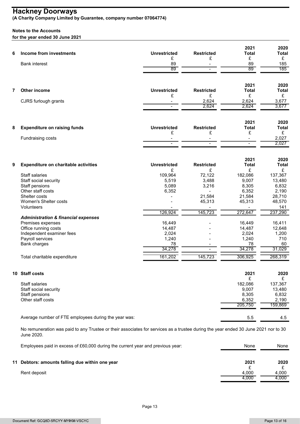#### Notes to the Accounts

for the year ended 30 June 2021

| 6              | Income from investments<br><b>Bank interest</b>                                                                                                  | <b>Unrestricted</b><br>£<br>89<br>89 | <b>Restricted</b><br>£<br>$\overline{\phantom{a}}$<br>$\sim$ | 2021<br><b>Total</b><br>£<br>89<br>89           | 2020<br><b>Total</b><br>£<br>185<br>185 |
|----------------|--------------------------------------------------------------------------------------------------------------------------------------------------|--------------------------------------|--------------------------------------------------------------|-------------------------------------------------|-----------------------------------------|
| $\overline{7}$ | Other income                                                                                                                                     | <b>Unrestricted</b>                  | <b>Restricted</b>                                            | 2021<br><b>Total</b>                            | 2020<br><b>Total</b>                    |
|                | CJRS furlough grants                                                                                                                             | £<br>$\blacksquare$                  | £<br>2,624<br>2,624                                          | £<br>2,624<br>2,624                             | £<br>3,677<br>3,677                     |
| 8              | <b>Expenditure on raising funds</b>                                                                                                              | <b>Unrestricted</b>                  | <b>Restricted</b>                                            | 2021<br><b>Total</b>                            | 2020<br><b>Total</b>                    |
|                | Fundraising costs                                                                                                                                | £<br>$\sim$                          | £<br>$\sim$                                                  | £<br>$\overline{\phantom{a}}$<br>$\blacksquare$ | £<br>2,027<br>2,027                     |
| 9              | <b>Expenditure on charitable activities</b>                                                                                                      | <b>Unrestricted</b>                  | <b>Restricted</b>                                            | 2021<br><b>Total</b>                            | 2020<br><b>Total</b>                    |
|                | Staff salaries                                                                                                                                   | £<br>109,964                         | £<br>72,122                                                  | £<br>182,086                                    | £<br>137,367                            |
|                | Staff social security                                                                                                                            | 5,519                                | 3,488                                                        | 9,007                                           | 13,480                                  |
|                | Staff pensions                                                                                                                                   | 5,089                                | 3,216                                                        | 8,305                                           | 6,832                                   |
|                | Other staff costs                                                                                                                                | 6,352                                |                                                              | 6,352                                           | 2,190                                   |
|                | Shelter costs                                                                                                                                    |                                      | 21,584                                                       | 21,584                                          | 28,710                                  |
|                | Women's Shelter costs                                                                                                                            |                                      | 45,313                                                       | 45,313                                          | 48,570                                  |
|                | Volunteers                                                                                                                                       |                                      |                                                              |                                                 | 141                                     |
|                | <b>Administration &amp; financial expenses</b>                                                                                                   | 126,924                              | 145,723                                                      | 272,647                                         | 237,290                                 |
|                | Premises expenses                                                                                                                                | 16,449                               |                                                              | 16,449                                          | 16,411                                  |
|                | Office running costs                                                                                                                             | 14,487                               |                                                              | 14,487                                          | 12,648                                  |
|                | Independent examiner fees                                                                                                                        | 2,024                                |                                                              | 2,024                                           | 1,200                                   |
|                | Payroll services                                                                                                                                 | 1,240                                |                                                              | 1,240                                           | 710                                     |
|                | <b>Bank charges</b>                                                                                                                              | 78                                   |                                                              | 78                                              | 60                                      |
|                |                                                                                                                                                  | 34,278                               | $\overline{\phantom{a}}$                                     | 34,278                                          | 31,029                                  |
|                | Total charitable expenditure                                                                                                                     | 161,202                              | 145,723                                                      | 306,925                                         | 268,319                                 |
|                | 10 Staff costs                                                                                                                                   |                                      |                                                              | 2021<br>£                                       | 2020<br>£                               |
|                | Staff salaries                                                                                                                                   |                                      |                                                              | 182,086                                         | 137,367                                 |
|                | Staff social security                                                                                                                            |                                      |                                                              | 9,007                                           | 13,480                                  |
|                | Staff pensions                                                                                                                                   |                                      |                                                              | 8,305                                           | 6,832                                   |
|                | Other staff costs                                                                                                                                |                                      |                                                              | 6,352                                           | 2,190                                   |
|                |                                                                                                                                                  |                                      |                                                              | 205,750                                         | 159,869                                 |
|                | Average number of FTE employees during the year was:                                                                                             |                                      |                                                              | $5.5\,$                                         | 4.5                                     |
|                | No remuneration was paid to any Trustee or their associates for services as a trustee during the year ended 30 June 2021 nor to 30<br>June 2020. |                                      |                                                              |                                                 |                                         |
|                | Employees paid in excess of £60,000 during the current year and previous year:                                                                   |                                      |                                                              | None                                            | None                                    |

| j<br>`expenditure<br>' otal<br>chari<br>ahletır<br>iiable | 1,202<br>$\sim$<br>٦б. | フウク<br>- 4<br>$1/\sqrt{2}$<br>ں ے ر<br>−.∪ | სს6.925 | 268.319 |
|-----------------------------------------------------------|------------------------|--------------------------------------------|---------|---------|
|                                                           |                        |                                            |         |         |
|                                                           |                        |                                            |         |         |

| 10 Staff costs                                       | 2021    | 2020    |
|------------------------------------------------------|---------|---------|
|                                                      |         |         |
| Staff salaries                                       | 182,086 | 137,367 |
| Staff social security                                | 9,007   | 13,480  |
| Staff pensions                                       | 8,305   | 6,832   |
| Other staff costs                                    | 6.352   | 2,190   |
|                                                      | 205.750 | 159,869 |
|                                                      |         |         |
| Average number of FTE employees during the year was: | 5.5     | 4.5     |

|              | Employees paid in excess of £60,000 during the current year and previous year: | None           | None           |
|--------------|--------------------------------------------------------------------------------|----------------|----------------|
|              | 11 Debtors: amounts falling due within one year                                | 2021           | 2020           |
| Rent deposit |                                                                                | 4.000<br>4,000 | 4.000<br>4,000 |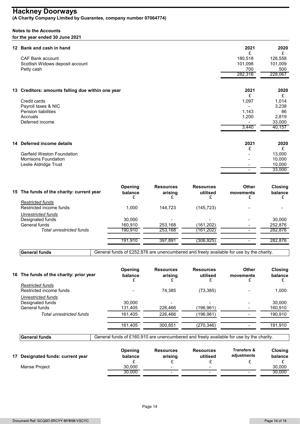### Hackney Doorways and the state of the state of the state of the state of the state of the state of the state o

(A Charity Company Limited by Guarantee, company number 07064774)

#### Notes to the Accounts

#### for the year ended 30 June 2021

| 12 Bank and cash in hand                                                                                         |                         |                                  |                                   | 2021                                                    | 2020                                                   |
|------------------------------------------------------------------------------------------------------------------|-------------------------|----------------------------------|-----------------------------------|---------------------------------------------------------|--------------------------------------------------------|
| <b>CAF Bank account</b><br>Scottish Widows deposit account<br>Petty cash                                         |                         |                                  |                                   | £<br>180,518<br>101,098<br>700<br>282,316               | £<br>126,558<br>101,009<br>500<br>228,067              |
| 13 Creditors: amounts falling due within one year                                                                |                         |                                  |                                   | 2021                                                    | 2020                                                   |
| Credit cards<br>Payroll taxes & NIC<br><b>Pension liabilities</b><br>Accruals<br>Deferred income                 |                         |                                  |                                   | £<br>1,097<br>1,143<br>1,200<br>3,440                   | £<br>1,014<br>3,238<br>86<br>2,819<br>33,000<br>40,157 |
| 14 Deferred income details<br><b>Garfield Weston Foundation</b><br>Morrisons Foundation<br>Leslie Aldridge Trust |                         |                                  |                                   | 2021<br>£<br>$\overline{\phantom{a}}$<br>$\blacksquare$ | 2020<br>£<br>13,000<br>10,000<br>10,000<br>33,000      |
| 15 The funds of the charity: current year                                                                        | Opening<br>balance<br>£ | <b>Resources</b><br>arising<br>£ | <b>Resources</b><br>utilised<br>£ | <b>Other</b><br>movements<br>£                          | Closing<br>balance<br>£                                |
| <b>Restricted funds</b><br>Restricted income funds                                                               | 1,000                   | 144,723                          | (145, 723)                        |                                                         |                                                        |
| Unrestricted funds<br>Designated funds<br>On work of the state                                                   | 30,000<br>100.010       | 250, 400                         | (404, 000)                        |                                                         | 30,000<br>250.27                                       |

| la Deferred Income details                |                    |                             |                              | ZUZ 1                                                                                   | ZUZU<br>£                 |
|-------------------------------------------|--------------------|-----------------------------|------------------------------|-----------------------------------------------------------------------------------------|---------------------------|
| <b>Garfield Weston Foundation</b>         |                    |                             |                              |                                                                                         | 13,000                    |
| <b>Morrisons Foundation</b>               |                    |                             |                              |                                                                                         | 10,000                    |
| Leslie Aldridge Trust                     |                    |                             |                              |                                                                                         | 10,000                    |
|                                           |                    |                             |                              | $\blacksquare$                                                                          | 33,000                    |
| 15 The funds of the charity: current year | Opening<br>balance | <b>Resources</b><br>arising | <b>Resources</b><br>utilised | Other<br>movements                                                                      | <b>Closing</b><br>balance |
| <b>Restricted funds</b>                   |                    |                             |                              |                                                                                         |                           |
| Restricted income funds                   | 1,000              | 144,723                     | (145, 723)                   |                                                                                         |                           |
| <b>Unrestricted funds</b>                 |                    |                             |                              |                                                                                         |                           |
| Designated funds                          | 30,000             |                             |                              |                                                                                         | 30,000                    |
| General funds                             | 160,910            | 253,168                     | (161, 202)                   |                                                                                         | 252,876                   |
| <b>Total unrestricted funds</b>           | 190,910            | 253,168                     | (161, 202)                   |                                                                                         | 282,876                   |
|                                           |                    |                             |                              |                                                                                         |                           |
|                                           | 191,910            | 397,891                     | (306, 925)                   |                                                                                         | 282,876                   |
| <b>General funds</b>                      |                    |                             |                              | General funds of £252,876 are unencumbered and freely available for use by the charity. |                           |
|                                           |                    |                             |                              |                                                                                         |                           |
| 16 The funds of the charity: prior year   | Opening<br>balance | <b>Resources</b><br>arising | <b>Resources</b><br>utilised | <b>Other</b><br>movements                                                               | <b>Closing</b><br>balance |
| <b>Restricted funds</b>                   |                    |                             |                              |                                                                                         |                           |
| Restricted income funds                   |                    | 74,385                      | (73, 385)                    |                                                                                         | 1,000                     |
| <b>Unrestricted funds</b>                 |                    |                             |                              |                                                                                         |                           |
| Designated funds                          | 30,000             |                             |                              |                                                                                         | 30,000                    |
| Canaral funda                             | $121$ $105$        | 226 166                     | (4000004)                    |                                                                                         | 1000010                   |

| 15 The funds of the charity: current year | Opening<br>balance                                                                      | <b>Resources</b><br>arising | <b>Resources</b><br>utilised | Other<br>movements     | Closing<br>balance |
|-------------------------------------------|-----------------------------------------------------------------------------------------|-----------------------------|------------------------------|------------------------|--------------------|
| <b>Restricted funds</b>                   |                                                                                         |                             |                              |                        |                    |
| Restricted income funds                   | 1,000                                                                                   | 144,723                     | (145, 723)                   |                        |                    |
| Unrestricted funds                        |                                                                                         |                             |                              |                        |                    |
| Designated funds                          | 30,000                                                                                  |                             |                              |                        | 30,000             |
| General funds                             | 160,910                                                                                 | 253,168                     | (161, 202)                   |                        | 252,876            |
| <b>Total unrestricted funds</b>           | 190,910                                                                                 | 253,168                     | (161, 202)                   | $\sim$                 | 282,876            |
|                                           | 191,910                                                                                 | 397,891                     | (306, 925)                   | $\sim$                 | 282,876            |
| <b>General funds</b>                      | General funds of £252,876 are unencumbered and freely available for use by the charity. |                             |                              |                        |                    |
|                                           |                                                                                         |                             |                              |                        |                    |
|                                           | Opening                                                                                 | <b>Resources</b>            | <b>Resources</b>             | Other                  | Closing            |
| 16 The funds of the charity: prior year   | balance                                                                                 | arising                     | utilised                     | movements              | balance            |
| <b>Restricted funds</b>                   |                                                                                         |                             |                              |                        |                    |
| Restricted income funds                   |                                                                                         | 74,385                      | (73, 385)                    |                        | 1,000              |
| Unrestricted funds                        |                                                                                         |                             |                              |                        |                    |
| Designated funds                          | 30,000                                                                                  |                             |                              |                        | 30,000             |
| General funds                             | 131,405                                                                                 | 226,466                     | (196, 961)                   |                        | 160,910            |
| Total unrestricted funds                  | 161,405                                                                                 | 226,466                     | (196, 961)                   |                        | 190,910            |
|                                           | 161,405                                                                                 | 300,851                     | (270, 346)                   |                        | 191,910            |
|                                           |                                                                                         |                             |                              |                        |                    |
| <b>General funds</b>                      | General funds of £160,910 are unencumbered and freely available for use by the charity. |                             |                              |                        |                    |
|                                           | Opening                                                                                 | <b>Resources</b>            | <b>Resources</b>             | <b>Transfers &amp;</b> | Closing            |
| 17 Designated funds: current year         | balance                                                                                 | arising                     | utilised                     | adjustments            | balance            |
|                                           | £                                                                                       | £                           | £                            | £                      | £                  |
|                                           |                                                                                         |                             |                              |                        |                    |
| Manse Project                             | 30,000<br>30,000                                                                        |                             |                              |                        | 30,000<br>30,000   |

| use<br>$\mathcal E$ 160.910 are unencumbered and freely available for <code>u</code><br>e by the charity<br>u | <b>Gene</b><br>eral funds<br>----- |
|---------------------------------------------------------------------------------------------------------------|------------------------------------|
|---------------------------------------------------------------------------------------------------------------|------------------------------------|

| adjustments<br>utilised<br>Designated funds: current year<br>arising<br>balance<br>balance<br>- |
|-------------------------------------------------------------------------------------------------|
| 30.000<br>30,000<br>Manse Project<br>$\overline{\phantom{a}}$                                   |
| 30,000<br>30,000<br>$\overline{\phantom{a}}$                                                    |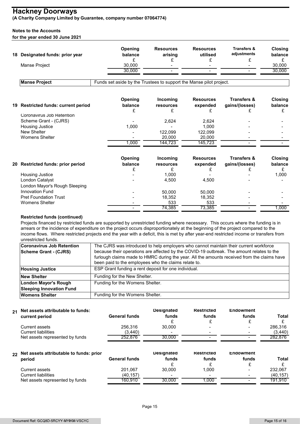#### Notes to the Accounts

| <b>Hackney Doorways</b><br>(A Charity Company Limited by Guarantee, company number 07064774)<br><b>Notes to the Accounts</b><br>for the year ended 30 June 2021 |                                                                     |                             |                                   |                                               |                                |
|-----------------------------------------------------------------------------------------------------------------------------------------------------------------|---------------------------------------------------------------------|-----------------------------|-----------------------------------|-----------------------------------------------|--------------------------------|
| 18 Designated funds: prior year                                                                                                                                 | Opening<br>balance                                                  | <b>Resources</b><br>arising | <b>Resources</b><br>utilised      | <b>Transfers &amp;</b><br>adjustments         | Closing<br>balance             |
| Manse Project                                                                                                                                                   | £<br>30,000<br>30,000                                               | £<br>$\blacksquare$         | £                                 | £                                             | £<br>30,000<br>30,000          |
| <b>Manse Project</b>                                                                                                                                            | Funds set aside by the Trustees to support the Manse pilot project. |                             |                                   |                                               |                                |
| 19 Restricted funds: current period                                                                                                                             | Opening<br>balance<br>£                                             | Incoming<br>resources       | <b>Resources</b><br>expended<br>£ | <b>Transfers &amp;</b><br>gains/(losses)<br>£ | <b>Closing</b><br>balance<br>£ |
| Coronavirus Job Retention<br>Scheme Grant - (CJRS)                                                                                                              |                                                                     | £<br>2,624                  | 2,624                             |                                               |                                |
| Housing Justice<br>New Shelter<br><b>Womens Shelter</b>                                                                                                         | 1,000                                                               | 122,099<br>20,000           | 1,000<br>122,099<br>20,000        |                                               |                                |
|                                                                                                                                                                 | 1,000                                                               | 144,723                     | 145,723                           |                                               |                                |
| 20 Restricted funds: prior period                                                                                                                               | Opening<br>balance<br>£                                             | Incoming<br>resources<br>£  | <b>Resources</b><br>expended<br>£ | <b>Transfers &amp;</b><br>gains/(losses)<br>£ | Closing<br>balance<br>£        |
| Housing Justice<br>London Catalyst<br>London Mayor's Rough Sleeping                                                                                             |                                                                     | 1,000<br>4,500              | $\blacksquare$<br>4,500           |                                               | 1,000                          |
| Innovation Fund<br><b>Pret Foundation Trust</b>                                                                                                                 |                                                                     | 50,000<br>18,352            | 50,000<br>18,352                  |                                               |                                |
| Womens Shelter                                                                                                                                                  |                                                                     | 533                         | 533                               |                                               |                                |

| <b>Restricted funds: prior period</b> | <b>Opening</b><br>balance | Incoming<br>resources | <b>Resources</b><br>expended | <b>Transfers &amp;</b><br>gains/(losses) | Closing<br>balance |
|---------------------------------------|---------------------------|-----------------------|------------------------------|------------------------------------------|--------------------|
| Housing Justice                       |                           | 0.000                 |                              | $\overline{\phantom{0}}$                 | 1,000              |
| London Catalyst                       |                           | 4.500                 | 4.500                        |                                          |                    |
| London Mayor's Rough Sleeping         |                           |                       |                              |                                          |                    |
| Innovation Fund                       |                           | 50.000                | 50.000                       |                                          |                    |
| <b>Pret Foundation Trust</b>          |                           | 18.352                | 18,352                       |                                          |                    |
| <b>Womens Shelter</b>                 | $\sim$                    | 533                   | 533                          | $\overline{\phantom{0}}$                 |                    |
|                                       |                           | 74,385                | 73,385                       |                                          | 000,               |

#### Restricted funds (continued)

| London Mayor's Rough Sleeping                                                                                                          |                                                                                             |                   |                   |                          |              |
|----------------------------------------------------------------------------------------------------------------------------------------|---------------------------------------------------------------------------------------------|-------------------|-------------------|--------------------------|--------------|
| <b>Innovation Fund</b>                                                                                                                 |                                                                                             | 50,000            | 50,000            |                          |              |
| <b>Pret Foundation Trust</b>                                                                                                           |                                                                                             | 18,352            | 18,352            |                          |              |
| <b>Womens Shelter</b>                                                                                                                  |                                                                                             | 533               | 533               |                          |              |
|                                                                                                                                        | $\overline{\phantom{a}}$                                                                    | 74,385            | 73,385            | $\overline{\phantom{a}}$ | 1,000        |
| <b>Restricted funds (continued)</b>                                                                                                    |                                                                                             |                   |                   |                          |              |
| Projects financed by restricted funds are supported by unrestricted funding where necessary. This occurs where the funding is in       |                                                                                             |                   |                   |                          |              |
| arrears or the incidence of expenditure on the project occurs disproportionately at the beginning of the project compared to the       |                                                                                             |                   |                   |                          |              |
| income flows. Where restricted projects end the year with a deficit, this is met by after year-end restricted income or transfers from |                                                                                             |                   |                   |                          |              |
| unrestricted funds.                                                                                                                    |                                                                                             |                   |                   |                          |              |
| <b>Coronavirus Job Retention</b>                                                                                                       | The CJRS was introduced to help employers who cannot maintain their current workforce       |                   |                   |                          |              |
| <b>Scheme Grant - (CJRS)</b>                                                                                                           | because their operations are affected by the COVID-19 outbreak. The amount relates to the   |                   |                   |                          |              |
|                                                                                                                                        | furlough claims made to HMRC during the year. All the amounts received from the claims have |                   |                   |                          |              |
|                                                                                                                                        | been paid to the employees who the claims relate to.                                        |                   |                   |                          |              |
| <b>Housing Justice</b>                                                                                                                 | ESP Grant funding a rent deposit for one individual.                                        |                   |                   |                          |              |
| <b>New Shelter</b>                                                                                                                     | Funding for the New Shelter.                                                                |                   |                   |                          |              |
| <b>London Mayor's Rough</b>                                                                                                            | Funding for the Womens Shelter.                                                             |                   |                   |                          |              |
| <b>Sleeping Innovation Fund</b>                                                                                                        |                                                                                             |                   |                   |                          |              |
| <b>Womens Shelter</b>                                                                                                                  | Funding for the Womens Shelter.                                                             |                   |                   |                          |              |
|                                                                                                                                        |                                                                                             |                   |                   |                          |              |
| Net assets attributable to funds:                                                                                                      |                                                                                             | <b>Designated</b> | <b>Restricted</b> | <b>Endowment</b>         |              |
|                                                                                                                                        |                                                                                             |                   |                   |                          |              |
| current period                                                                                                                         | <b>General funds</b>                                                                        | funds             | funds             | funds                    | <b>Total</b> |
| <b>Current assets</b>                                                                                                                  | 256,316                                                                                     | 30,000            |                   |                          | 286,316      |
| <b>Current liabilities</b>                                                                                                             | (3, 440)                                                                                    |                   |                   |                          | (3,440)      |
| Net assets represented by funds                                                                                                        | 252,876                                                                                     | 30,000            |                   |                          | 282,876      |
|                                                                                                                                        |                                                                                             |                   |                   |                          |              |
| Net assets attributable to funds: prior                                                                                                |                                                                                             | <b>Designated</b> | <b>Restricted</b> | <b>Endowment</b>         |              |
| period                                                                                                                                 | <b>General funds</b>                                                                        | funds             | funds             | funds                    | <b>Total</b> |
|                                                                                                                                        |                                                                                             | £                 |                   |                          |              |
| <b>Current assets</b>                                                                                                                  | 201.067                                                                                     | 30,000            | 1,000             |                          | 232,067      |
| <b>Current liabilities</b>                                                                                                             | (40, 157)                                                                                   |                   |                   |                          | (40, 157)    |
| Net assets represented by funds                                                                                                        | 160,910                                                                                     | 30,000            | 1,000             |                          | 191,910      |
|                                                                                                                                        |                                                                                             |                   |                   |                          |              |
|                                                                                                                                        |                                                                                             |                   |                   |                          |              |

| 21 | Net assets attributable to funds:<br>current period | General funds | <b>Designated</b><br>funds | <b>Restricted</b><br>funds | <b>Endowment</b><br>funds | Total   |
|----|-----------------------------------------------------|---------------|----------------------------|----------------------------|---------------------------|---------|
|    | Current assets                                      | 256,316       | 30.000                     |                            |                           | 286,316 |
|    | Current liabilities                                 | (3.440)       | $\overline{\phantom{a}}$   |                            |                           | (3,440) |
|    | Net assets represented by funds                     | 252,876       | 30.000                     |                            |                           | 282.876 |
|    |                                                     |               |                            |                            |                           |         |

| $_{\rm 22}$ Net assets attributable to funds: prior<br><b>Restricted</b><br><b>Designated</b><br><b>Endowment</b><br>General funds<br>funds<br>period<br>funds | funds<br>Total |
|----------------------------------------------------------------------------------------------------------------------------------------------------------------|----------------|
| 201,067<br>30.000<br>1.000<br>Current assets                                                                                                                   | 232,067        |
| (40, 157)<br>Current liabilities<br>-                                                                                                                          | (40, 157)      |
| Net assets represented by funds<br>30.000<br>160.910<br>.000                                                                                                   | 191.910        |